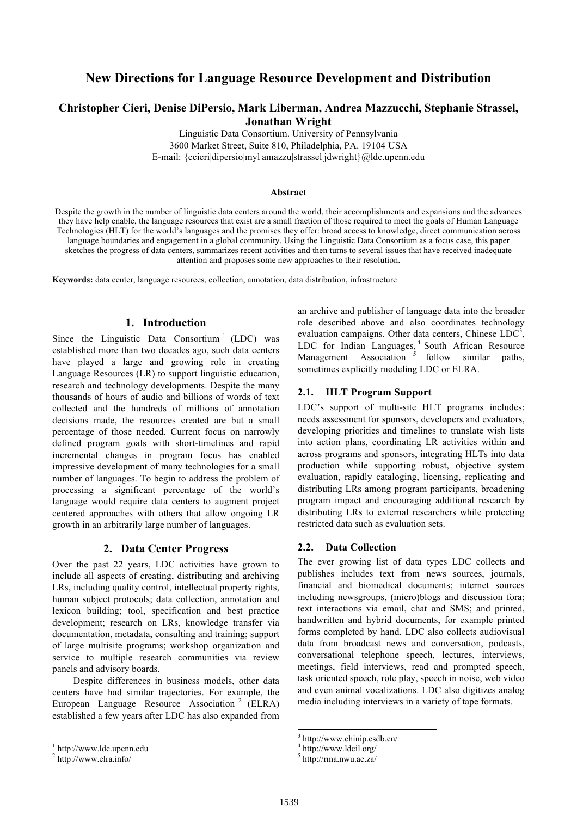## **New Directions for Language Resource Development and Distribution**

## **Christopher Cieri, Denise DiPersio, Mark Liberman, Andrea Mazzucchi, Stephanie Strassel, Jonathan Wright**

Linguistic Data Consortium. University of Pennsylvania 3600 Market Street, Suite 810, Philadelphia, PA. 19104 USA E-mail: {ccieri|dipersio|myl|amazzu|strassel|jdwright}@ldc.upenn.edu

#### **Abstract**

Despite the growth in the number of linguistic data centers around the world, their accomplishments and expansions and the advances they have help enable, the language resources that exist are a small fraction of those required to meet the goals of Human Language Technologies (HLT) for the world's languages and the promises they offer: broad access to knowledge, direct communication across language boundaries and engagement in a global community. Using the Linguistic Data Consortium as a focus case, this paper sketches the progress of data centers, summarizes recent activities and then turns to several issues that have received inadequate attention and proposes some new approaches to their resolution.

**Keywords:** data center, language resources, collection, annotation, data distribution, infrastructure

### **1. Introduction**

Since the Linguistic Data Consortium<sup>1</sup> (LDC) was established more than two decades ago, such data centers have played a large and growing role in creating Language Resources (LR) to support linguistic education, research and technology developments. Despite the many thousands of hours of audio and billions of words of text collected and the hundreds of millions of annotation decisions made, the resources created are but a small percentage of those needed. Current focus on narrowly defined program goals with short-timelines and rapid incremental changes in program focus has enabled impressive development of many technologies for a small number of languages. To begin to address the problem of processing a significant percentage of the world's language would require data centers to augment project centered approaches with others that allow ongoing LR growth in an arbitrarily large number of languages.

### **2. Data Center Progress**

Over the past 22 years, LDC activities have grown to include all aspects of creating, distributing and archiving LRs, including quality control, intellectual property rights, human subject protocols; data collection, annotation and lexicon building; tool, specification and best practice development; research on LRs, knowledge transfer via documentation, metadata, consulting and training; support of large multisite programs; workshop organization and service to multiple research communities via review panels and advisory boards.

Despite differences in business models, other data centers have had similar trajectories. For example, the European Language Resource Association<sup>2</sup> (ELRA) established a few years after LDC has also expanded from

an archive and publisher of language data into the broader role described above and also coordinates technology evaluation campaigns. Other data centers, Chinese  $LDC<sup>3</sup>$ , LDC for Indian Languages, <sup>4</sup> South African Resource Management Association<sup>5</sup> follow similar paths, sometimes explicitly modeling LDC or ELRA.

#### **2.1. HLT Program Support**

LDC's support of multi-site HLT programs includes: needs assessment for sponsors, developers and evaluators, developing priorities and timelines to translate wish lists into action plans, coordinating LR activities within and across programs and sponsors, integrating HLTs into data production while supporting robust, objective system evaluation, rapidly cataloging, licensing, replicating and distributing LRs among program participants, broadening program impact and encouraging additional research by distributing LRs to external researchers while protecting restricted data such as evaluation sets.

#### **2.2. Data Collection**

The ever growing list of data types LDC collects and publishes includes text from news sources, journals, financial and biomedical documents; internet sources including newsgroups, (micro)blogs and discussion fora; text interactions via email, chat and SMS; and printed, handwritten and hybrid documents, for example printed forms completed by hand. LDC also collects audiovisual data from broadcast news and conversation, podcasts, conversational telephone speech, lectures, interviews, meetings, field interviews, read and prompted speech, task oriented speech, role play, speech in noise, web video and even animal vocalizations. LDC also digitizes analog media including interviews in a variety of tape formats.

 <sup>1</sup> http://www.ldc.upenn.edu

 $2$  http://www.elra.info/

http://www.chinip.csdb.cn/

<sup>4</sup> http://www.ldcil.org/

 $5$  http://rma.nwu.ac.za/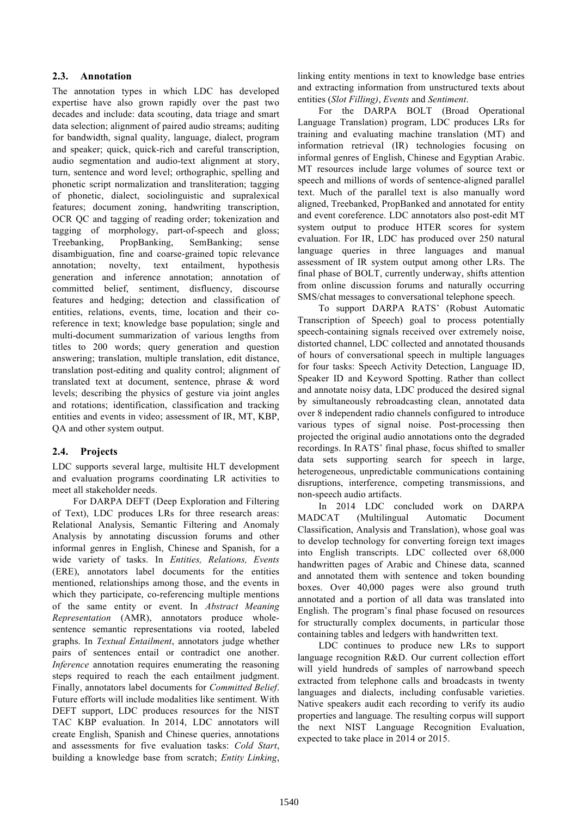## **2.3. Annotation**

The annotation types in which LDC has developed expertise have also grown rapidly over the past two decades and include: data scouting, data triage and smart data selection; alignment of paired audio streams; auditing for bandwidth, signal quality, language, dialect, program and speaker; quick, quick-rich and careful transcription, audio segmentation and audio-text alignment at story, turn, sentence and word level; orthographic, spelling and phonetic script normalization and transliteration; tagging of phonetic, dialect, sociolinguistic and supralexical features; document zoning, handwriting transcription, OCR QC and tagging of reading order; tokenization and tagging of morphology, part-of-speech and gloss; Treebanking, PropBanking, SemBanking; sense disambiguation, fine and coarse-grained topic relevance annotation; novelty, text entailment, hypothesis generation and inference annotation; annotation of committed belief, sentiment, disfluency, discourse features and hedging; detection and classification of entities, relations, events, time, location and their coreference in text; knowledge base population; single and multi-document summarization of various lengths from titles to 200 words; query generation and question answering; translation, multiple translation, edit distance, translation post-editing and quality control; alignment of translated text at document, sentence, phrase & word levels; describing the physics of gesture via joint angles and rotations; identification, classification and tracking entities and events in video; assessment of IR, MT, KBP, QA and other system output.

## **2.4. Projects**

LDC supports several large, multisite HLT development and evaluation programs coordinating LR activities to meet all stakeholder needs.

For DARPA DEFT (Deep Exploration and Filtering of Text), LDC produces LRs for three research areas: Relational Analysis, Semantic Filtering and Anomaly Analysis by annotating discussion forums and other informal genres in English, Chinese and Spanish, for a wide variety of tasks. In *Entities, Relations, Events* (ERE), annotators label documents for the entities mentioned, relationships among those, and the events in which they participate, co-referencing multiple mentions of the same entity or event. In *Abstract Meaning Representation* (AMR), annotators produce wholesentence semantic representations via rooted, labeled graphs. In *Textual Entailment*, annotators judge whether pairs of sentences entail or contradict one another. *Inference* annotation requires enumerating the reasoning steps required to reach the each entailment judgment. Finally, annotators label documents for *Committed Belief*. Future efforts will include modalities like sentiment. With DEFT support, LDC produces resources for the NIST TAC KBP evaluation. In 2014, LDC annotators will create English, Spanish and Chinese queries, annotations and assessments for five evaluation tasks: *Cold Start*, building a knowledge base from scratch; *Entity Linking*,

linking entity mentions in text to knowledge base entries and extracting information from unstructured texts about entities (*Slot Filling)*, *Events* and *Sentiment*.

For the DARPA BOLT (Broad Operational Language Translation) program, LDC produces LRs for training and evaluating machine translation (MT) and information retrieval (IR) technologies focusing on informal genres of English, Chinese and Egyptian Arabic. MT resources include large volumes of source text or speech and millions of words of sentence-aligned parallel text. Much of the parallel text is also manually word aligned, Treebanked, PropBanked and annotated for entity and event coreference. LDC annotators also post-edit MT system output to produce HTER scores for system evaluation. For IR, LDC has produced over 250 natural language queries in three languages and manual assessment of IR system output among other LRs. The final phase of BOLT, currently underway, shifts attention from online discussion forums and naturally occurring SMS/chat messages to conversational telephone speech.

To support DARPA RATS' (Robust Automatic Transcription of Speech) goal to process potentially speech-containing signals received over extremely noise, distorted channel, LDC collected and annotated thousands of hours of conversational speech in multiple languages for four tasks: Speech Activity Detection, Language ID, Speaker ID and Keyword Spotting. Rather than collect and annotate noisy data, LDC produced the desired signal by simultaneously rebroadcasting clean, annotated data over 8 independent radio channels configured to introduce various types of signal noise. Post-processing then projected the original audio annotations onto the degraded recordings. In RATS' final phase, focus shifted to smaller data sets supporting search for speech in large, heterogeneous, unpredictable communications containing disruptions, interference, competing transmissions, and non-speech audio artifacts.

In 2014 LDC concluded work on DARPA MADCAT (Multilingual Automatic Document Classification, Analysis and Translation), whose goal was to develop technology for converting foreign text images into English transcripts. LDC collected over 68,000 handwritten pages of Arabic and Chinese data, scanned and annotated them with sentence and token bounding boxes. Over 40,000 pages were also ground truth annotated and a portion of all data was translated into English. The program's final phase focused on resources for structurally complex documents, in particular those containing tables and ledgers with handwritten text.

LDC continues to produce new LRs to support language recognition R&D. Our current collection effort will yield hundreds of samples of narrowband speech extracted from telephone calls and broadcasts in twenty languages and dialects, including confusable varieties. Native speakers audit each recording to verify its audio properties and language. The resulting corpus will support the next NIST Language Recognition Evaluation, expected to take place in 2014 or 2015.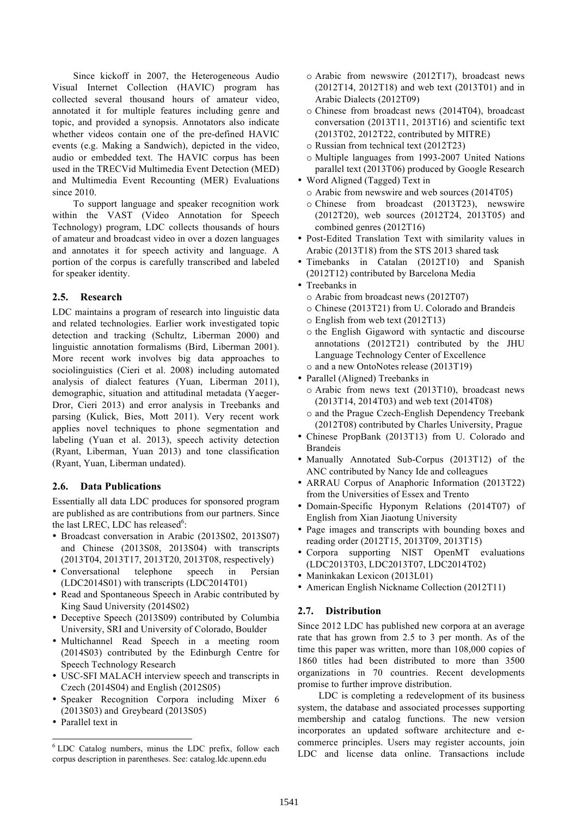Since kickoff in 2007, the Heterogeneous Audio Visual Internet Collection (HAVIC) program has collected several thousand hours of amateur video, annotated it for multiple features including genre and topic, and provided a synopsis. Annotators also indicate whether videos contain one of the pre-defined HAVIC events (e.g. Making a Sandwich), depicted in the video, audio or embedded text. The HAVIC corpus has been used in the TRECVid Multimedia Event Detection (MED) and Multimedia Event Recounting (MER) Evaluations since 2010.

To support language and speaker recognition work within the VAST (Video Annotation for Speech Technology) program, LDC collects thousands of hours of amateur and broadcast video in over a dozen languages and annotates it for speech activity and language. A portion of the corpus is carefully transcribed and labeled for speaker identity.

## **2.5. Research**

LDC maintains a program of research into linguistic data and related technologies. Earlier work investigated topic detection and tracking (Schultz, Liberman 2000) and linguistic annotation formalisms (Bird, Liberman 2001). More recent work involves big data approaches to sociolinguistics (Cieri et al. 2008) including automated analysis of dialect features (Yuan, Liberman 2011), demographic, situation and attitudinal metadata (Yaeger-Dror, Cieri 2013) and error analysis in Treebanks and parsing (Kulick, Bies, Mott 2011). Very recent work applies novel techniques to phone segmentation and labeling (Yuan et al. 2013), speech activity detection (Ryant, Liberman, Yuan 2013) and tone classification (Ryant, Yuan, Liberman undated).

## **2.6. Data Publications**

Essentially all data LDC produces for sponsored program are published as are contributions from our partners. Since the last LREC, LDC has released<sup>6</sup>:

- Broadcast conversation in Arabic (2013S02, 2013S07) and Chinese (2013S08, 2013S04) with transcripts (2013T04, 2013T17, 2013T20, 2013T08, respectively)
- Conversational telephone speech in Persian (LDC2014S01) with transcripts (LDC2014T01)
- Read and Spontaneous Speech in Arabic contributed by King Saud University (2014S02)
- Deceptive Speech (2013S09) contributed by Columbia University, SRI and University of Colorado, Boulder
- Multichannel Read Speech in a meeting room (2014S03) contributed by the Edinburgh Centre for Speech Technology Research
- USC-SFI MALACH interview speech and transcripts in Czech (2014S04) and English (2012S05)
- Speaker Recognition Corpora including Mixer 6 (2013S03) and Greybeard (2013S05)
- Parallel text in
- o Arabic from newswire (2012T17), broadcast news (2012T14, 2012T18) and web text (2013T01) and in Arabic Dialects (2012T09)
- o Chinese from broadcast news (2014T04), broadcast conversation (2013T11, 2013T16) and scientific text (2013T02, 2012T22, contributed by MITRE)
- o Russian from technical text (2012T23)
- o Multiple languages from 1993-2007 United Nations parallel text (2013T06) produced by Google Research
- Word Aligned (Tagged) Text in
	- o Arabic from newswire and web sources (2014T05)
	- o Chinese from broadcast (2013T23), newswire (2012T20), web sources (2012T24, 2013T05) and combined genres (2012T16)
- Post-Edited Translation Text with similarity values in Arabic (2013T18) from the STS 2013 shared task
- Timebanks in Catalan (2012T10) and Spanish (2012T12) contributed by Barcelona Media
- Treebanks in
	- o Arabic from broadcast news (2012T07)
	- o Chinese (2013T21) from U. Colorado and Brandeis
	- o English from web text (2012T13)
	- o the English Gigaword with syntactic and discourse annotations (2012T21) contributed by the JHU Language Technology Center of Excellence
	- o and a new OntoNotes release (2013T19)
- Parallel (Aligned) Treebanks in
	- o Arabic from news text (2013T10), broadcast news (2013T14, 2014T03) and web text (2014T08)
	- o and the Prague Czech-English Dependency Treebank (2012T08) contributed by Charles University, Prague
- Chinese PropBank (2013T13) from U. Colorado and Brandeis
- Manually Annotated Sub-Corpus (2013T12) of the ANC contributed by Nancy Ide and colleagues
- ARRAU Corpus of Anaphoric Information (2013T22) from the Universities of Essex and Trento
- Domain-Specific Hyponym Relations (2014T07) of English from Xian Jiaotung University
- Page images and transcripts with bounding boxes and reading order (2012T15, 2013T09, 2013T15)
- Corpora supporting NIST OpenMT evaluations (LDC2013T03, LDC2013T07, LDC2014T02)
- Maninkakan Lexicon (2013L01)
- American English Nickname Collection (2012T11)

## **2.7. Distribution**

Since 2012 LDC has published new corpora at an average rate that has grown from 2.5 to 3 per month. As of the time this paper was written, more than 108,000 copies of 1860 titles had been distributed to more than 3500 organizations in 70 countries. Recent developments promise to further improve distribution.

LDC is completing a redevelopment of its business system, the database and associated processes supporting membership and catalog functions. The new version incorporates an updated software architecture and ecommerce principles. Users may register accounts, join LDC and license data online. Transactions include

 <sup>6</sup> LDC Catalog numbers, minus the LDC prefix, follow each corpus description in parentheses. See: catalog.ldc.upenn.edu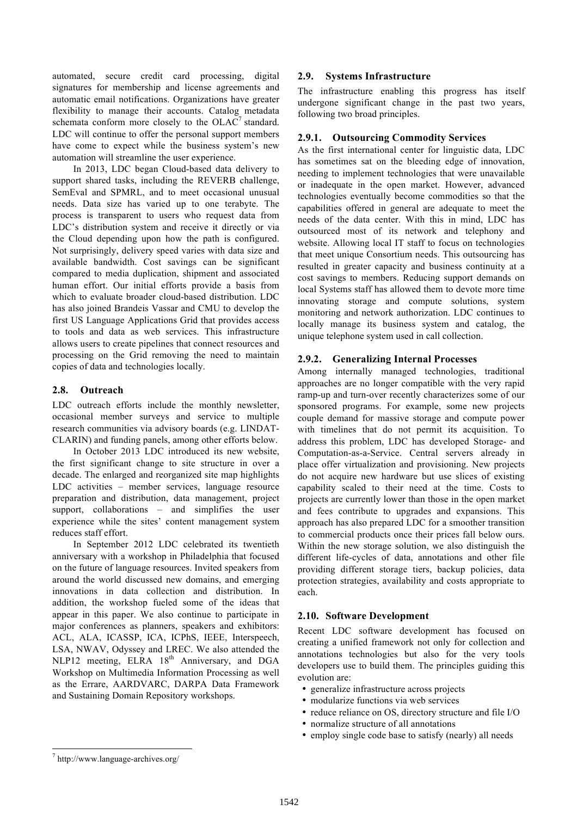automated, secure credit card processing, digital signatures for membership and license agreements and automatic email notifications. Organizations have greater flexibility to manage their accounts. Catalog metadata schemata conform more closely to the  $OLAC<sup>7</sup>$  standard. LDC will continue to offer the personal support members have come to expect while the business system's new automation will streamline the user experience.

In 2013, LDC began Cloud-based data delivery to support shared tasks, including the REVERB challenge, SemEval and SPMRL, and to meet occasional unusual needs. Data size has varied up to one terabyte. The process is transparent to users who request data from LDC's distribution system and receive it directly or via the Cloud depending upon how the path is configured. Not surprisingly, delivery speed varies with data size and available bandwidth. Cost savings can be significant compared to media duplication, shipment and associated human effort. Our initial efforts provide a basis from which to evaluate broader cloud-based distribution. LDC has also joined Brandeis Vassar and CMU to develop the first US Language Applications Grid that provides access to tools and data as web services. This infrastructure allows users to create pipelines that connect resources and processing on the Grid removing the need to maintain copies of data and technologies locally.

## **2.8. Outreach**

LDC outreach efforts include the monthly newsletter, occasional member surveys and service to multiple research communities via advisory boards (e.g. LINDAT-CLARIN) and funding panels, among other efforts below.

In October 2013 LDC introduced its new website, the first significant change to site structure in over a decade. The enlarged and reorganized site map highlights LDC activities – member services, language resource preparation and distribution, data management, project support, collaborations – and simplifies the user experience while the sites' content management system reduces staff effort.

In September 2012 LDC celebrated its twentieth anniversary with a workshop in Philadelphia that focused on the future of language resources. Invited speakers from around the world discussed new domains, and emerging innovations in data collection and distribution. In addition, the workshop fueled some of the ideas that appear in this paper. We also continue to participate in major conferences as planners, speakers and exhibitors: ACL, ALA, ICASSP, ICA, ICPhS, IEEE, Interspeech, LSA, NWAV, Odyssey and LREC. We also attended the NLP12 meeting, ELRA  $18<sup>th</sup>$  Anniversary, and DGA Workshop on Multimedia Information Processing as well as the Errare, AARDVARC, DARPA Data Framework and Sustaining Domain Repository workshops.

### **2.9. Systems Infrastructure**

The infrastructure enabling this progress has itself undergone significant change in the past two years, following two broad principles.

### **2.9.1. Outsourcing Commodity Services**

As the first international center for linguistic data, LDC has sometimes sat on the bleeding edge of innovation, needing to implement technologies that were unavailable or inadequate in the open market. However, advanced technologies eventually become commodities so that the capabilities offered in general are adequate to meet the needs of the data center. With this in mind, LDC has outsourced most of its network and telephony and website. Allowing local IT staff to focus on technologies that meet unique Consortium needs. This outsourcing has resulted in greater capacity and business continuity at a cost savings to members. Reducing support demands on local Systems staff has allowed them to devote more time innovating storage and compute solutions, system monitoring and network authorization. LDC continues to locally manage its business system and catalog, the unique telephone system used in call collection.

### **2.9.2. Generalizing Internal Processes**

Among internally managed technologies, traditional approaches are no longer compatible with the very rapid ramp-up and turn-over recently characterizes some of our sponsored programs. For example, some new projects couple demand for massive storage and compute power with timelines that do not permit its acquisition. To address this problem, LDC has developed Storage- and Computation-as-a-Service. Central servers already in place offer virtualization and provisioning. New projects do not acquire new hardware but use slices of existing capability scaled to their need at the time. Costs to projects are currently lower than those in the open market and fees contribute to upgrades and expansions. This approach has also prepared LDC for a smoother transition to commercial products once their prices fall below ours. Within the new storage solution, we also distinguish the different life-cycles of data, annotations and other file providing different storage tiers, backup policies, data protection strategies, availability and costs appropriate to each.

#### **2.10. Software Development**

Recent LDC software development has focused on creating a unified framework not only for collection and annotations technologies but also for the very tools developers use to build them. The principles guiding this evolution are:

- generalize infrastructure across projects
- modularize functions via web services
- reduce reliance on OS, directory structure and file I/O
- normalize structure of all annotations
- employ single code base to satisfy (nearly) all needs

 <sup>7</sup> http://www.language-archives.org/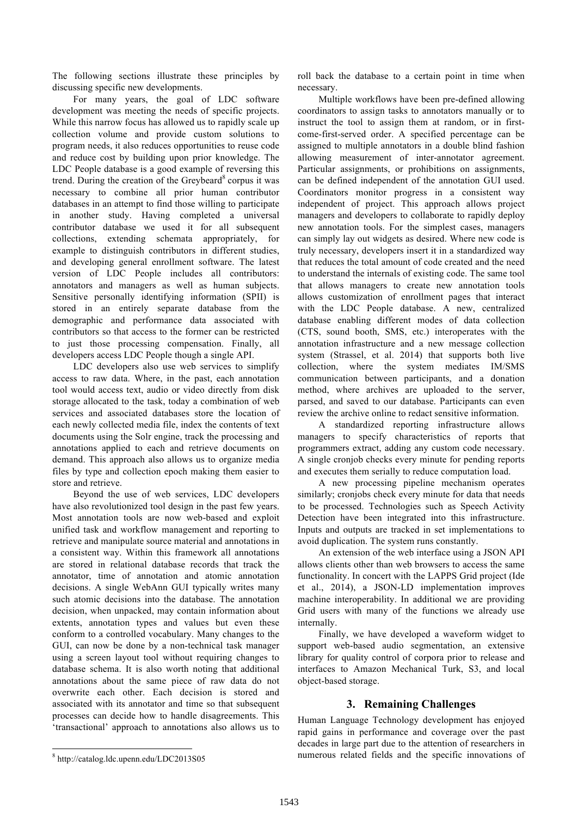The following sections illustrate these principles by discussing specific new developments.

For many years, the goal of LDC software development was meeting the needs of specific projects. While this narrow focus has allowed us to rapidly scale up collection volume and provide custom solutions to program needs, it also reduces opportunities to reuse code and reduce cost by building upon prior knowledge. The LDC People database is a good example of reversing this trend. During the creation of the Greybeard $\delta$  corpus it was necessary to combine all prior human contributor databases in an attempt to find those willing to participate in another study. Having completed a universal contributor database we used it for all subsequent collections, extending schemata appropriately, for example to distinguish contributors in different studies, and developing general enrollment software. The latest version of LDC People includes all contributors: annotators and managers as well as human subjects. Sensitive personally identifying information (SPII) is stored in an entirely separate database from the demographic and performance data associated with contributors so that access to the former can be restricted to just those processing compensation. Finally, all developers access LDC People though a single API.

LDC developers also use web services to simplify access to raw data. Where, in the past, each annotation tool would access text, audio or video directly from disk storage allocated to the task, today a combination of web services and associated databases store the location of each newly collected media file, index the contents of text documents using the Solr engine, track the processing and annotations applied to each and retrieve documents on demand. This approach also allows us to organize media files by type and collection epoch making them easier to store and retrieve.

Beyond the use of web services, LDC developers have also revolutionized tool design in the past few years. Most annotation tools are now web-based and exploit unified task and workflow management and reporting to retrieve and manipulate source material and annotations in a consistent way. Within this framework all annotations are stored in relational database records that track the annotator, time of annotation and atomic annotation decisions. A single WebAnn GUI typically writes many such atomic decisions into the database. The annotation decision, when unpacked, may contain information about extents, annotation types and values but even these conform to a controlled vocabulary. Many changes to the GUI, can now be done by a non-technical task manager using a screen layout tool without requiring changes to database schema. It is also worth noting that additional annotations about the same piece of raw data do not overwrite each other. Each decision is stored and associated with its annotator and time so that subsequent processes can decide how to handle disagreements. This 'transactional' approach to annotations also allows us to

roll back the database to a certain point in time when necessary.

Multiple workflows have been pre-defined allowing coordinators to assign tasks to annotators manually or to instruct the tool to assign them at random, or in firstcome-first-served order. A specified percentage can be assigned to multiple annotators in a double blind fashion allowing measurement of inter-annotator agreement. Particular assignments, or prohibitions on assignments, can be defined independent of the annotation GUI used. Coordinators monitor progress in a consistent way independent of project. This approach allows project managers and developers to collaborate to rapidly deploy new annotation tools. For the simplest cases, managers can simply lay out widgets as desired. Where new code is truly necessary, developers insert it in a standardized way that reduces the total amount of code created and the need to understand the internals of existing code. The same tool that allows managers to create new annotation tools allows customization of enrollment pages that interact with the LDC People database. A new, centralized database enabling different modes of data collection (CTS, sound booth, SMS, etc.) interoperates with the annotation infrastructure and a new message collection system (Strassel, et al. 2014) that supports both live collection, where the system mediates IM/SMS communication between participants, and a donation method, where archives are uploaded to the server, parsed, and saved to our database. Participants can even review the archive online to redact sensitive information.

A standardized reporting infrastructure allows managers to specify characteristics of reports that programmers extract, adding any custom code necessary. A single cronjob checks every minute for pending reports and executes them serially to reduce computation load.

A new processing pipeline mechanism operates similarly; cronjobs check every minute for data that needs to be processed. Technologies such as Speech Activity Detection have been integrated into this infrastructure. Inputs and outputs are tracked in set implementations to avoid duplication. The system runs constantly.

An extension of the web interface using a JSON API allows clients other than web browsers to access the same functionality. In concert with the LAPPS Grid project (Ide et al., 2014), a JSON-LD implementation improves machine interoperability. In additional we are providing Grid users with many of the functions we already use internally.

Finally, we have developed a waveform widget to support web-based audio segmentation, an extensive library for quality control of corpora prior to release and interfaces to Amazon Mechanical Turk, S3, and local object-based storage.

# **3. Remaining Challenges**

Human Language Technology development has enjoyed rapid gains in performance and coverage over the past decades in large part due to the attention of researchers in numerous related fields and the specific innovations of

 <sup>8</sup> http://catalog.ldc.upenn.edu/LDC2013S05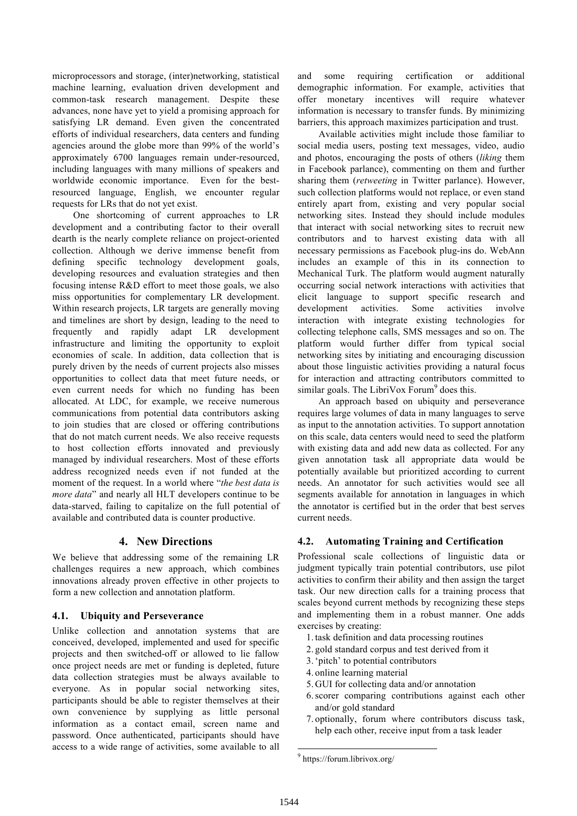microprocessors and storage, (inter)networking, statistical machine learning, evaluation driven development and common-task research management. Despite these advances, none have yet to yield a promising approach for satisfying LR demand. Even given the concentrated efforts of individual researchers, data centers and funding agencies around the globe more than 99% of the world's approximately 6700 languages remain under-resourced, including languages with many millions of speakers and worldwide economic importance. Even for the bestresourced language, English, we encounter regular requests for LRs that do not yet exist.

One shortcoming of current approaches to LR development and a contributing factor to their overall dearth is the nearly complete reliance on project-oriented collection. Although we derive immense benefit from defining specific technology development goals, developing resources and evaluation strategies and then focusing intense R&D effort to meet those goals, we also miss opportunities for complementary LR development. Within research projects, LR targets are generally moving and timelines are short by design, leading to the need to frequently and rapidly adapt LR development infrastructure and limiting the opportunity to exploit economies of scale. In addition, data collection that is purely driven by the needs of current projects also misses opportunities to collect data that meet future needs, or even current needs for which no funding has been allocated. At LDC, for example, we receive numerous communications from potential data contributors asking to join studies that are closed or offering contributions that do not match current needs. We also receive requests to host collection efforts innovated and previously managed by individual researchers. Most of these efforts address recognized needs even if not funded at the moment of the request. In a world where "*the best data is more data*" and nearly all HLT developers continue to be data-starved, failing to capitalize on the full potential of available and contributed data is counter productive.

## **4. New Directions**

We believe that addressing some of the remaining LR challenges requires a new approach, which combines innovations already proven effective in other projects to form a new collection and annotation platform.

## **4.1. Ubiquity and Perseverance**

Unlike collection and annotation systems that are conceived, developed, implemented and used for specific projects and then switched-off or allowed to lie fallow once project needs are met or funding is depleted, future data collection strategies must be always available to everyone. As in popular social networking sites, participants should be able to register themselves at their own convenience by supplying as little personal information as a contact email, screen name and password. Once authenticated, participants should have access to a wide range of activities, some available to all and some requiring certification or additional demographic information. For example, activities that offer monetary incentives will require whatever information is necessary to transfer funds. By minimizing barriers, this approach maximizes participation and trust.

Available activities might include those familiar to social media users, posting text messages, video, audio and photos, encouraging the posts of others (*liking* them in Facebook parlance), commenting on them and further sharing them (*retweeting* in Twitter parlance). However, such collection platforms would not replace, or even stand entirely apart from, existing and very popular social networking sites. Instead they should include modules that interact with social networking sites to recruit new contributors and to harvest existing data with all necessary permissions as Facebook plug-ins do. WebAnn includes an example of this in its connection to Mechanical Turk. The platform would augment naturally occurring social network interactions with activities that elicit language to support specific research and development activities. Some activities involve interaction with integrate existing technologies for collecting telephone calls, SMS messages and so on. The platform would further differ from typical social networking sites by initiating and encouraging discussion about those linguistic activities providing a natural focus for interaction and attracting contributors committed to similar goals. The LibriVox Forum $9$  does this.

An approach based on ubiquity and perseverance requires large volumes of data in many languages to serve as input to the annotation activities. To support annotation on this scale, data centers would need to seed the platform with existing data and add new data as collected. For any given annotation task all appropriate data would be potentially available but prioritized according to current needs. An annotator for such activities would see all segments available for annotation in languages in which the annotator is certified but in the order that best serves current needs.

## **4.2. Automating Training and Certification**

Professional scale collections of linguistic data or judgment typically train potential contributors, use pilot activities to confirm their ability and then assign the target task. Our new direction calls for a training process that scales beyond current methods by recognizing these steps and implementing them in a robust manner. One adds exercises by creating:

- 1. task definition and data processing routines
- 2. gold standard corpus and test derived from it
- 3.'pitch' to potential contributors
- 4. online learning material
- 5. GUI for collecting data and/or annotation
- 6.scorer comparing contributions against each other and/or gold standard
- 7. optionally, forum where contributors discuss task, help each other, receive input from a task leader

 <sup>9</sup> https://forum.librivox.org/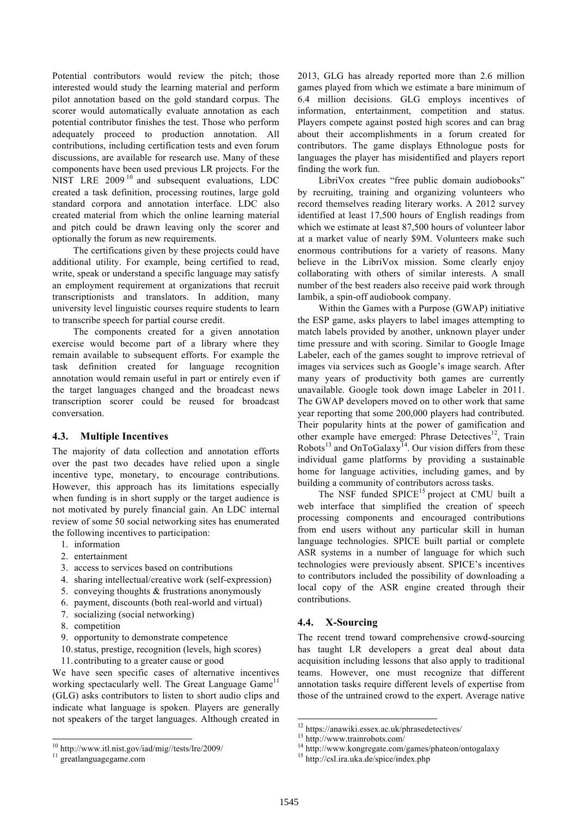Potential contributors would review the pitch; those interested would study the learning material and perform pilot annotation based on the gold standard corpus. The scorer would automatically evaluate annotation as each potential contributor finishes the test. Those who perform adequately proceed to production annotation. All contributions, including certification tests and even forum discussions, are available for research use. Many of these components have been used previous LR projects. For the NIST LRE 2009<sup>10</sup> and subsequent evaluations, LDC created a task definition, processing routines, large gold standard corpora and annotation interface. LDC also created material from which the online learning material and pitch could be drawn leaving only the scorer and optionally the forum as new requirements.

The certifications given by these projects could have additional utility. For example, being certified to read, write, speak or understand a specific language may satisfy an employment requirement at organizations that recruit transcriptionists and translators. In addition, many university level linguistic courses require students to learn to transcribe speech for partial course credit.

The components created for a given annotation exercise would become part of a library where they remain available to subsequent efforts. For example the task definition created for language recognition annotation would remain useful in part or entirely even if the target languages changed and the broadcast news transcription scorer could be reused for broadcast conversation.

### **4.3. Multiple Incentives**

The majority of data collection and annotation efforts over the past two decades have relied upon a single incentive type, monetary, to encourage contributions. However, this approach has its limitations especially when funding is in short supply or the target audience is not motivated by purely financial gain. An LDC internal review of some 50 social networking sites has enumerated the following incentives to participation:

- 1. information
- 2. entertainment
- 3. access to services based on contributions
- 4. sharing intellectual/creative work (self-expression)
- 5. conveying thoughts & frustrations anonymously
- 6. payment, discounts (both real-world and virtual)
- 7. socializing (social networking)
- 8. competition
- 9. opportunity to demonstrate competence
- 10.status, prestige, recognition (levels, high scores)
- 11.contributing to a greater cause or good

We have seen specific cases of alternative incentives working spectacularly well. The Great Language Game<sup>11</sup> (GLG) asks contributors to listen to short audio clips and indicate what language is spoken. Players are generally not speakers of the target languages. Although created in

2013, GLG has already reported more than 2.6 million games played from which we estimate a bare minimum of 6.4 million decisions. GLG employs incentives of information, entertainment, competition and status. Players compete against posted high scores and can brag about their accomplishments in a forum created for contributors. The game displays Ethnologue posts for languages the player has misidentified and players report finding the work fun.

LibriVox creates "free public domain audiobooks" by recruiting, training and organizing volunteers who record themselves reading literary works. A 2012 survey identified at least 17,500 hours of English readings from which we estimate at least 87,500 hours of volunteer labor at a market value of nearly \$9M. Volunteers make such enormous contributions for a variety of reasons. Many believe in the LibriVox mission. Some clearly enjoy collaborating with others of similar interests. A small number of the best readers also receive paid work through Iambik, a spin-off audiobook company.

Within the Games with a Purpose (GWAP) initiative the ESP game, asks players to label images attempting to match labels provided by another, unknown player under time pressure and with scoring. Similar to Google Image Labeler, each of the games sought to improve retrieval of images via services such as Google's image search. After many years of productivity both games are currently unavailable. Google took down image Labeler in 2011. The GWAP developers moved on to other work that same year reporting that some 200,000 players had contributed. Their popularity hints at the power of gamification and other example have emerged: Phrase Detectives<sup>12</sup>, Train Robots<sup>13</sup> and OnToGalaxy<sup>14</sup>. Our vision differs from these individual game platforms by providing a sustainable home for language activities, including games, and by building a community of contributors across tasks.

The NSF funded SPICE<sup>15</sup> project at CMU built a web interface that simplified the creation of speech processing components and encouraged contributions from end users without any particular skill in human language technologies. SPICE built partial or complete ASR systems in a number of language for which such technologies were previously absent. SPICE's incentives to contributors included the possibility of downloading a local copy of the ASR engine created through their contributions.

### **4.4. X-Sourcing**

The recent trend toward comprehensive crowd-sourcing has taught LR developers a great deal about data acquisition including lessons that also apply to traditional teams. However, one must recognize that different annotation tasks require different levels of expertise from those of the untrained crowd to the expert. Average native

 $10$  http://www.itl.nist.gov/iad/mig//tests/lre/2009/<br> $11$  greatlanguagegame.com

<sup>&</sup>lt;sup>12</sup> https://anawiki.essex.ac.uk/phrasedetectives/<br><sup>13</sup> http://www.trainrobots.com/<br><sup>14</sup> http://www.kongregate.com/games/phateon/ontogalaxy<br><sup>15</sup> http://csl.ira.uka.de/spice/index.php